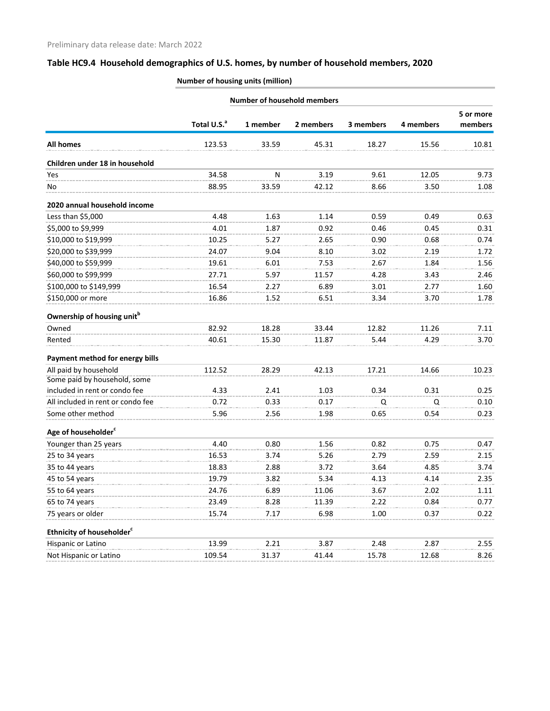# **Table HC9.4 Household demographics of U.S. homes, by number of household members, 2020**

| <b>Number of housing units (million)</b> |  |
|------------------------------------------|--|
|                                          |  |

|                                        |                         |           | <b>Number of household members</b> |           |           |           |
|----------------------------------------|-------------------------|-----------|------------------------------------|-----------|-----------|-----------|
|                                        |                         |           |                                    |           |           | 5 or more |
|                                        | Total U.S. <sup>a</sup> | 1 member  | 2 members                          | 3 members | 4 members | members   |
| <b>All homes</b>                       | 123.53                  | 33.59     | 45.31                              | 18.27     | 15.56     | 10.81     |
| Children under 18 in household         |                         |           |                                    |           |           |           |
| Yes                                    | 34.58                   | ${\sf N}$ | 3.19                               | 9.61      | 12.05     | 9.73      |
| No                                     | 88.95                   | 33.59     | 42.12                              | 8.66      | 3.50      | 1.08      |
| 2020 annual household income           |                         |           |                                    |           |           |           |
| Less than \$5,000                      | 4.48                    | 1.63      | 1.14                               | 0.59      | 0.49      | 0.63      |
| \$5,000 to \$9,999                     | 4.01                    | 1.87      | 0.92                               | 0.46      | 0.45      | 0.31      |
| \$10,000 to \$19,999                   | 10.25                   | 5.27      | 2.65                               | 0.90      | 0.68      | 0.74      |
| \$20,000 to \$39,999                   | 24.07                   | 9.04      | 8.10                               | 3.02      | 2.19      | 1.72      |
| \$40,000 to \$59,999                   | 19.61                   | 6.01      | 7.53                               | 2.67      | 1.84      | 1.56      |
| \$60,000 to \$99,999                   | 27.71                   | 5.97      | 11.57                              | 4.28      | 3.43      | 2.46      |
| \$100,000 to \$149,999                 | 16.54                   | 2.27      | 6.89                               | 3.01      | 2.77      | 1.60      |
| \$150,000 or more                      | 16.86                   | 1.52      | 6.51                               | 3.34      | 3.70      | 1.78      |
| Ownership of housing unit <sup>b</sup> |                         |           |                                    |           |           |           |
| Owned                                  | 82.92                   | 18.28     | 33.44                              | 12.82     | 11.26     | 7.11      |
| Rented                                 | 40.61                   | 15.30     | 11.87                              | 5.44      | 4.29      | 3.70      |
| Payment method for energy bills        |                         |           |                                    |           |           |           |
| All paid by household                  | 112.52                  | 28.29     | 42.13                              | 17.21     | 14.66     | 10.23     |
| Some paid by household, some           |                         |           |                                    |           |           |           |
| included in rent or condo fee          | 4.33                    | 2.41      | 1.03                               | 0.34      | 0.31      | 0.25      |
| All included in rent or condo fee      | 0.72                    | 0.33      | 0.17                               | Q         | Q         | 0.10      |
| Some other method                      | 5.96                    | 2.56      | 1.98                               | 0.65      | 0.54      | 0.23      |
| Age of householder <sup>c</sup>        |                         |           |                                    |           |           |           |
| Younger than 25 years                  | 4.40                    | 0.80      | 1.56                               | 0.82      | 0.75      | 0.47      |
| 25 to 34 years                         | 16.53                   | 3.74      | 5.26                               | 2.79      | 2.59      | 2.15      |
| 35 to 44 years                         | 18.83                   | 2.88      | 3.72                               | 3.64      | 4.85      | 3.74      |
| 45 to 54 years                         | 19.79                   | 3.82      | 5.34                               | 4.13      | 4.14      | 2.35      |
| 55 to 64 years                         | 24.76                   | 6.89      | 11.06                              | 3.67      | 2.02      | 1.11      |
| 65 to 74 years                         | 23.49                   | 8.28      | 11.39                              | 2.22      | 0.84      | 0.77      |
| 75 years or older                      | 15.74                   | 7.17      | 6.98                               | 1.00      | 0.37      | 0.22      |
| Ethnicity of householder <sup>c</sup>  |                         |           |                                    |           |           |           |
| Hispanic or Latino                     | 13.99                   | 2.21      | 3.87                               | 2.48      | 2.87      | 2.55      |
| Not Hispanic or Latino                 | 109.54                  | 31.37     | 41.44                              | 15.78     | 12.68     | 8.26      |
|                                        |                         |           |                                    |           |           |           |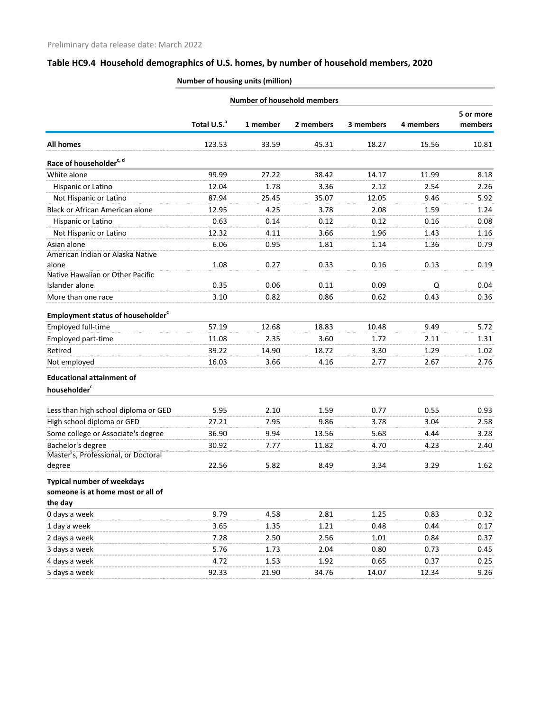## **Table HC9.4 Household demographics of U.S. homes, by number of household members, 2020**

**Number of housing units (million)**

| <b>Number of household members</b>                   |                         |          |           |           |           |                      |
|------------------------------------------------------|-------------------------|----------|-----------|-----------|-----------|----------------------|
|                                                      | Total U.S. <sup>a</sup> | 1 member | 2 members | 3 members | 4 members | 5 or more<br>members |
| <b>All homes</b>                                     | 123.53                  | 33.59    | 45.31     | 18.27     | 15.56     | 10.81                |
| Race of householder <sup>c, d</sup>                  |                         |          |           |           |           |                      |
| White alone                                          | 99.99                   | 27.22    | 38.42     | 14.17     | 11.99     | 8.18                 |
| Hispanic or Latino                                   | 12.04                   | 1.78     | 3.36      | 2.12      | 2.54      | 2.26                 |
| Not Hispanic or Latino                               | 87.94                   | 25.45    | 35.07     | 12.05     | 9.46      | 5.92                 |
| Black or African American alone                      | 12.95                   | 4.25     | 3.78      | 2.08      | 1.59      | 1.24                 |
| Hispanic or Latino                                   | 0.63                    | 0.14     | 0.12      | 0.12      | 0.16      | 0.08                 |
| Not Hispanic or Latino                               | 12.32                   | 4.11     | 3.66      | 1.96      | 1.43      | 1.16                 |
| Asian alone<br>American Indian or Alaska Native      | 6.06                    | 0.95     | 1.81      | 1.14      | 1.36      | 0.79                 |
| alone<br>Native Hawaiian or Other Pacific            | 1.08                    | 0.27     | 0.33      | 0.16      | 0.13      | 0.19                 |
| Islander alone                                       | 0.35                    | 0.06     | 0.11      | 0.09      | Q         | 0.04                 |
| More than one race                                   | 3.10                    | 0.82     | 0.86      | 0.62      | 0.43      | 0.36                 |
| <b>Employment status of householder</b> <sup>c</sup> |                         |          |           |           |           |                      |
| Employed full-time                                   | 57.19                   | 12.68    | 18.83     | 10.48     | 9.49      | 5.72                 |
| Employed part-time                                   | 11.08                   | 2.35     | 3.60      | 1.72      | 2.11      | 1.31                 |
| Retired                                              | 39.22                   | 14.90    | 18.72     | 3.30      | 1.29      | 1.02                 |
| Not employed                                         | 16.03                   | 3.66     | 4.16      | 2.77      | 2.67      | 2.76                 |
| <b>Educational attainment of</b>                     |                         |          |           |           |           |                      |
| householder <sup>c</sup>                             |                         |          |           |           |           |                      |
| Less than high school diploma or GED                 | 5.95                    | 2.10     | 1.59      | 0.77      | 0.55      | 0.93                 |
| High school diploma or GED                           | 27.21                   | 7.95     | 9.86      | 3.78      | 3.04      | 2.58                 |
| Some college or Associate's degree                   | 36.90                   | 9.94     | 13.56     | 5.68      | 4.44      | 3.28                 |
| Bachelor's degree                                    | 30.92                   | 7.77     | 11.82     | 4.70      | 4.23      | 2.40                 |
| Master's, Professional, or Doctoral                  |                         |          |           |           |           |                      |
| degree                                               | 22.56                   | 5.82     | 8.49      | 3.34      | 3.29      | 1.62                 |
| <b>Typical number of weekdays</b>                    |                         |          |           |           |           |                      |
| someone is at home most or all of<br>the day         |                         |          |           |           |           |                      |
| 0 days a week                                        | 9.79                    | 4.58     | 2.81      | 1.25      | 0.83      | 0.32                 |
| 1 day a week                                         | 3.65                    | 1.35     | 1.21      | 0.48      | 0.44      | 0.17                 |
| 2 days a week                                        | 7.28                    | 2.50     | 2.56      | 1.01      | 0.84      | 0.37                 |
| 3 days a week                                        | 5.76                    | 1.73     | 2.04      | 0.80      | 0.73      | 0.45                 |
| 4 days a week                                        | 4.72                    | 1.53     | 1.92      | 0.65      | 0.37      | 0.25                 |
| 5 days a week                                        | 92.33                   | 21.90    | 34.76     | 14.07     | 12.34     | 9.26                 |
|                                                      |                         |          |           |           |           |                      |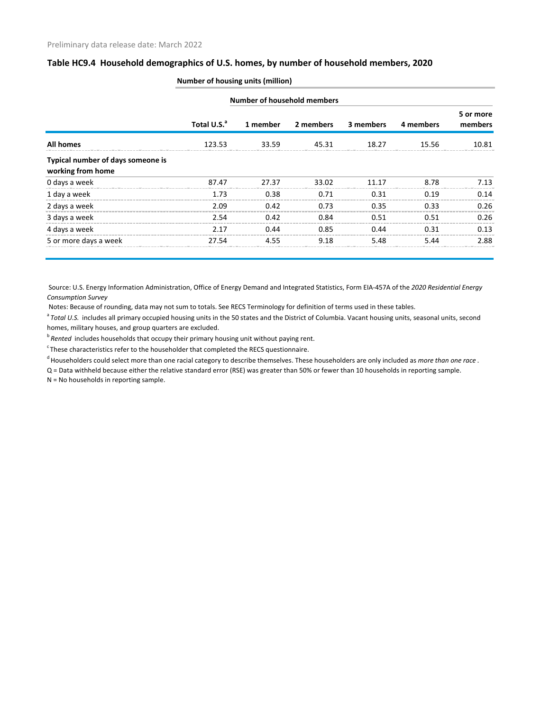#### **Table HC9.4 Household demographics of U.S. homes, by number of household members, 2020**

|                                                        | <b>Number of household members</b> |          |           |           |           |                      |
|--------------------------------------------------------|------------------------------------|----------|-----------|-----------|-----------|----------------------|
|                                                        | Total U.S. <sup>a</sup>            | 1 member | 2 members | 3 members | 4 members | 5 or more<br>members |
| <b>All homes</b>                                       | 123.53                             | 33.59    | 45.31     | 18.27     | 15.56     | 10.81                |
| Typical number of days someone is<br>working from home |                                    |          |           |           |           |                      |
| 0 days a week                                          | 87.47                              | 27.37    | 33.02     | 11 17     | 8.78      | 7.13                 |
| 1 day a week                                           | 1.73                               | 0.38     | 0.71      | 0.31      | 0.19      | 0.14                 |
| 2 days a week                                          | 2.09                               | 0.42     | 0.73      | 0.35      | 0.33      | 0.26                 |
| 3 days a week                                          | 2.54                               | 0.42     | 0.84      | 0.51      | 0.51      | 0.26                 |
| 4 days a week                                          | 2.17                               | 0.44     | 0.85      | 0.44      | 0.31      | 0.13                 |
| 5 or more days a week                                  | 27.54                              | 4.55     | 9.18      | 5.48      | 5.44      | 2.88                 |

#### **Number of housing units (million)**

 Source: U.S. Energy Information Administration, Office of Energy Demand and Integrated Statistics, Form EIA-457A of the *2020 Residential Energy Consumption Survey*

Notes: Because of rounding, data may not sum to totals. See RECS Terminology for definition of terms used in these tables.

<sup>a</sup> Total U.S. includes all primary occupied housing units in the 50 states and the District of Columbia. Vacant housing units, seasonal units, second homes, military houses, and group quarters are excluded.

b<sup>b</sup> Rented includes households that occupy their primary housing unit without paying rent.

 $\textdegree$ These characteristics refer to the householder that completed the RECS questionnaire.

d Householders could select more than one racial category to describe themselves. These householders are only included as *more than one race* .

Q = Data withheld because either the relative standard error (RSE) was greater than 50% or fewer than 10 households in reporting sample.

N = No households in reporting sample.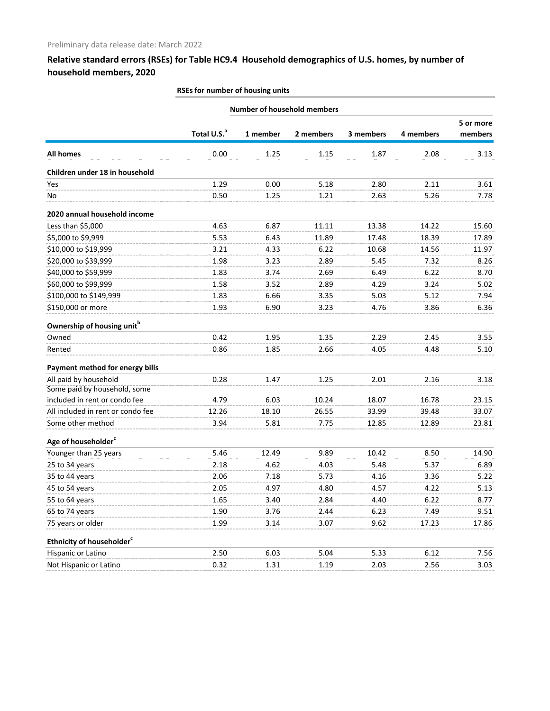## **Relative standard errors (RSEs) for Table HC9.4 Household demographics of U.S. homes, by number of household members, 2020**

|                                        | <b>Number of household members</b> |          |           |           |           |           |  |
|----------------------------------------|------------------------------------|----------|-----------|-----------|-----------|-----------|--|
|                                        |                                    |          |           |           |           | 5 or more |  |
|                                        | Total U.S. <sup>a</sup>            | 1 member | 2 members | 3 members | 4 members | members   |  |
| <b>All homes</b>                       | 0.00                               | 1.25     | 1.15      | 1.87      | 2.08      | 3.13      |  |
| Children under 18 in household         |                                    |          |           |           |           |           |  |
| Yes                                    | 1.29                               | 0.00     | 5.18      | 2.80      | 2.11      | 3.61      |  |
| No                                     | 0.50                               | 1.25     | 1.21      | 2.63      | 5.26      | 7.78      |  |
| 2020 annual household income           |                                    |          |           |           |           |           |  |
| Less than \$5,000                      | 4.63                               | 6.87     | 11.11     | 13.38     | 14.22     | 15.60     |  |
| \$5,000 to \$9,999                     | 5.53                               | 6.43     | 11.89     | 17.48     | 18.39     | 17.89     |  |
| \$10,000 to \$19,999                   | 3.21                               | 4.33     | 6.22      | 10.68     | 14.56     | 11.97     |  |
| \$20,000 to \$39,999                   | 1.98                               | 3.23     | 2.89      | 5.45      | 7.32      | 8.26      |  |
| \$40,000 to \$59,999                   | 1.83                               | 3.74     | 2.69      | 6.49      | 6.22      | 8.70      |  |
| \$60,000 to \$99,999                   | 1.58                               | 3.52     | 2.89      | 4.29      | 3.24      | 5.02      |  |
| \$100,000 to \$149,999                 | 1.83                               | 6.66     | 3.35      | 5.03      | 5.12      | 7.94      |  |
| \$150,000 or more                      | 1.93                               | 6.90     | 3.23      | 4.76      | 3.86      | 6.36      |  |
| Ownership of housing unit <sup>b</sup> |                                    |          |           |           |           |           |  |
| Owned                                  | 0.42                               | 1.95     | 1.35      | 2.29      | 2.45      | 3.55      |  |
| Rented                                 | 0.86                               | 1.85     | 2.66      | 4.05      | 4.48      | 5.10      |  |
| Payment method for energy bills        |                                    |          |           |           |           |           |  |
| All paid by household                  | 0.28                               | 1.47     | 1.25      | 2.01      | 2.16      | 3.18      |  |
| Some paid by household, some           |                                    |          |           |           |           |           |  |
| included in rent or condo fee          | 4.79                               | 6.03     | 10.24     | 18.07     | 16.78     | 23.15     |  |
| All included in rent or condo fee      | 12.26                              | 18.10    | 26.55     | 33.99     | 39.48     | 33.07     |  |
| Some other method                      | 3.94                               | 5.81     | 7.75      | 12.85     | 12.89     | 23.81     |  |
| Age of householder <sup>c</sup>        |                                    |          |           |           |           |           |  |
| Younger than 25 years                  | 5.46                               | 12.49    | 9.89      | 10.42     | 8.50      | 14.90     |  |
| 25 to 34 years                         | 2.18                               | 4.62     | 4.03      | 5.48      | 5.37      | 6.89      |  |
| 35 to 44 years                         | 2.06                               | 7.18     | 5.73      | 4.16      | 3.36      | 5.22      |  |
| 45 to 54 years                         | 2.05                               | 4.97     | 4.80      | 4.57      | 4.22      | 5.13      |  |
| 55 to 64 years                         | 1.65                               | 3.40     | 2.84      | 4.40      | 6.22      | 8.77      |  |
| 65 to 74 years                         | 1.90                               | 3.76     | 2.44      | 6.23      | 7.49      | 9.51      |  |
| 75 years or older                      | 1.99                               | 3.14     | 3.07      | 9.62      | 17.23     | 17.86     |  |
| Ethnicity of householder <sup>c</sup>  |                                    |          |           |           |           |           |  |
| Hispanic or Latino                     | 2.50                               | 6.03     | 5.04      | 5.33      | 6.12      | 7.56      |  |
| Not Hispanic or Latino                 | 0.32                               | 1.31     | 1.19      | 2.03      | 2.56      | 3.03      |  |

#### **RSEs for number of housing units**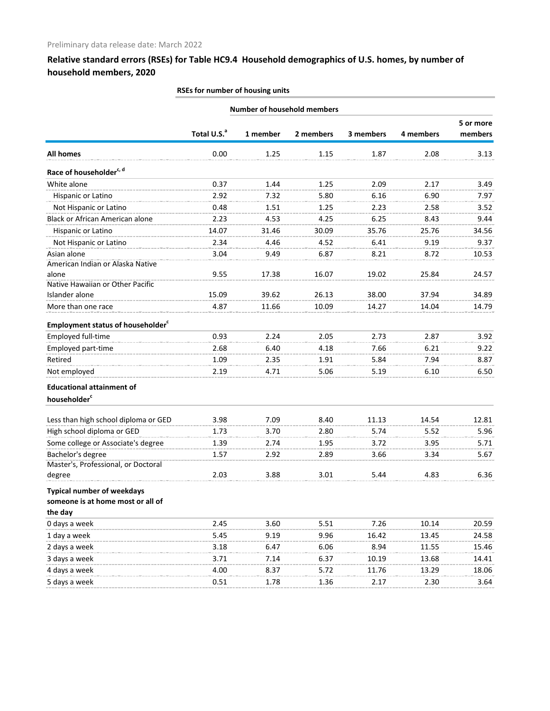## **Relative standard errors (RSEs) for Table HC9.4 Household demographics of U.S. homes, by number of household members, 2020**

|                                                      | <b>Number of household members</b> |          |           |           |           |           |
|------------------------------------------------------|------------------------------------|----------|-----------|-----------|-----------|-----------|
|                                                      |                                    |          |           |           |           | 5 or more |
|                                                      | Total U.S. <sup>a</sup>            | 1 member | 2 members | 3 members | 4 members | members   |
| <b>All homes</b>                                     | 0.00                               | 1.25     | 1.15      | 1.87      | 2.08      | 3.13      |
| Race of householder <sup>c, d</sup>                  |                                    |          |           |           |           |           |
| White alone                                          | 0.37                               | 1.44     | 1.25      | 2.09      | 2.17      | 3.49      |
| Hispanic or Latino                                   | 2.92                               | 7.32     | 5.80      | 6.16      | 6.90      | 7.97      |
| Not Hispanic or Latino                               | 0.48                               | 1.51     | 1.25      | 2.23      | 2.58      | 3.52      |
| <b>Black or African American alone</b>               | 2.23                               | 4.53     | 4.25      | 6.25      | 8.43      | 9.44      |
| Hispanic or Latino                                   | 14.07                              | 31.46    | 30.09     | 35.76     | 25.76     | 34.56     |
| Not Hispanic or Latino                               | 2.34                               | 4.46     | 4.52      | 6.41      | 9.19      | 9.37      |
| Asian alone                                          | 3.04                               | 9.49     | 6.87      | 8.21      | 8.72      | 10.53     |
| American Indian or Alaska Native                     |                                    |          |           |           |           |           |
| alone                                                | 9.55                               | 17.38    | 16.07     | 19.02     | 25.84     | 24.57     |
| Native Hawaiian or Other Pacific                     |                                    |          |           |           |           |           |
| Islander alone                                       | 15.09                              | 39.62    | 26.13     | 38.00     | 37.94     | 34.89     |
| More than one race                                   | 4.87                               | 11.66    | 10.09     | 14.27     | 14.04     | 14.79     |
| <b>Employment status of householder</b> <sup>c</sup> |                                    |          |           |           |           |           |
| Employed full-time                                   | 0.93                               | 2.24     | 2.05      | 2.73      | 2.87      | 3.92      |
| Employed part-time                                   | 2.68                               | 6.40     | 4.18      | 7.66      | 6.21      | 9.22      |
| Retired                                              | 1.09                               | 2.35     | 1.91      | 5.84      | 7.94      | 8.87      |
| Not employed                                         | 2.19                               | 4.71     | 5.06      | 5.19      | 6.10      | 6.50      |
| <b>Educational attainment of</b>                     |                                    |          |           |           |           |           |
| householder <sup>c</sup>                             |                                    |          |           |           |           |           |
| Less than high school diploma or GED                 | 3.98                               | 7.09     | 8.40      | 11.13     | 14.54     | 12.81     |
| High school diploma or GED                           | 1.73                               | 3.70     | 2.80      | 5.74      | 5.52      | 5.96      |
| Some college or Associate's degree                   | 1.39                               | 2.74     | 1.95      | 3.72      | 3.95      | 5.71      |
| Bachelor's degree                                    | 1.57                               | 2.92     | 2.89      | 3.66      | 3.34      | 5.67      |
| Master's, Professional, or Doctoral                  |                                    |          |           |           |           |           |
| degree                                               | 2.03                               | 3.88     | 3.01      | 5.44      | 4.83      | 6.36      |
| <b>Typical number of weekdays</b>                    |                                    |          |           |           |           |           |
| someone is at home most or all of                    |                                    |          |           |           |           |           |
| the day                                              |                                    |          |           |           |           |           |
| 0 days a week                                        | 2.45                               | 3.60     | 5.51      | 7.26      | 10.14     | 20.59     |
| 1 day a week                                         | 5.45                               | 9.19     | 9.96      | 16.42     | 13.45     | 24.58     |
| 2 days a week                                        | 3.18                               | 6.47     | 6.06      | 8.94      | 11.55     | 15.46     |
| 3 days a week                                        | 3.71                               | 7.14     | 6.37      | 10.19     | 13.68     | 14.41     |
| 4 days a week                                        | 4.00                               | 8.37     | 5.72      | 11.76     | 13.29     | 18.06     |
| 5 days a week                                        | 0.51                               | 1.78     | 1.36      | 2.17      | 2.30      | 3.64      |

#### **RSEs for number of housing units**